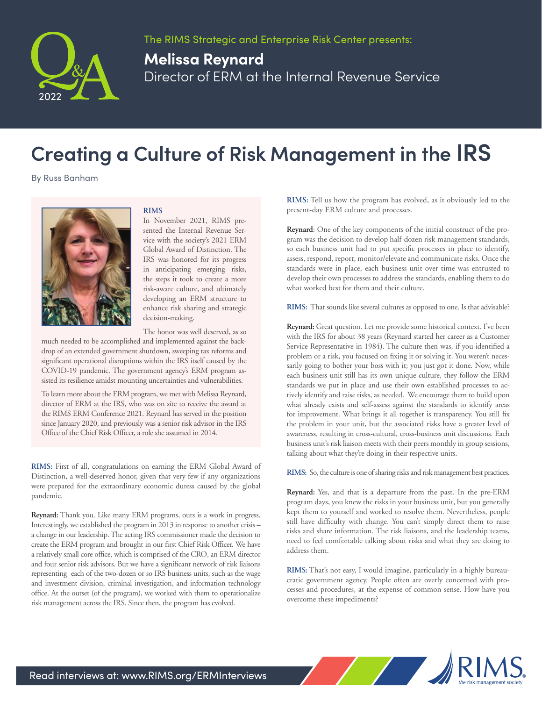

## **Melissa Reynard** Director of ERM at the Internal Revenue Service

## **Creating a Culture of Risk Management in the IRS**

By Russ Banham



## **RIMS**

In November 2021, RIMS presented the Internal Revenue Service with the society's 2021 ERM Global Award of Distinction. The IRS was honored for its progress in anticipating emerging risks, the steps it took to create a more risk-aware culture, and ultimately developing an ERM structure to enhance risk sharing and strategic decision-making.

The honor was well deserved, as so

much needed to be accomplished and implemented against the backdrop of an extended government shutdown, sweeping tax reforms and significant operational disruptions within the IRS itself caused by the COVID-19 pandemic. The government agency's ERM program assisted its resilience amidst mounting uncertainties and vulnerabilities.

To learn more about the ERM program, we met with Melissa Reynard, director of ERM at the IRS, who was on site to receive the award at the RIMS ERM Conference 2021. Reynard has served in the position since January 2020, and previously was a senior risk advisor in the IRS Office of the Chief Risk Officer, a role she assumed in 2014.

**RIMS:** First of all, congratulations on earning the ERM Global Award of Distinction, a well-deserved honor, given that very few if any organizations were prepared for the extraordinary economic duress caused by the global pandemic.

**Reynard:** Thank you. Like many ERM programs, ours is a work in progress. Interestingly, we established the program in 2013 in response to another crisis – a change in our leadership. The acting IRS commissioner made the decision to create the ERM program and brought in our first Chief Risk Officer. We have a relatively small core office, which is comprised of the CRO, an ERM director and four senior risk advisors. But we have a significant network of risk liaisons representing each of the two-dozen or so IRS business units, such as the wage and investment division, criminal investigation, and information technology office. At the outset (of the program), we worked with them to operationalize risk management across the IRS. Since then, the program has evolved.

**RIMS:** Tell us how the program has evolved, as it obviously led to the present-day ERM culture and processes.

**Reynard**: One of the key components of the initial construct of the program was the decision to develop half-dozen risk management standards, so each business unit had to put specific processes in place to identify, assess, respond, report, monitor/elevate and communicate risks. Once the standards were in place, each business unit over time was entrusted to develop their own processes to address the standards, enabling them to do what worked best for them and their culture.

**RIMS:** That sounds like several cultures as opposed to one. Is that advisable?

**Reynard:** Great question. Let me provide some historical context. I've been with the IRS for about 38 years (Reynard started her career as a Customer Service Representative in 1984). The culture then was, if you identified a problem or a risk, you focused on fixing it or solving it. You weren't necessarily going to bother your boss with it; you just got it done. Now, while each business unit still has its own unique culture, they follow the ERM standards we put in place and use their own established processes to actively identify and raise risks, as needed. We encourage them to build upon what already exists and self-assess against the standards to identify areas for improvement. What brings it all together is transparency. You still fix the problem in your unit, but the associated risks have a greater level of awareness, resulting in cross-cultural, cross-business unit discussions. Each business unit's risk liaison meets with their peers monthly in group sessions, talking about what they're doing in their respective units.

**RIMS:** So, the culture is one of sharing risks and risk management best practices.

**Reynard:** Yes, and that is a departure from the past. In the pre-ERM program days, you knew the risks in your business unit, but you generally kept them to yourself and worked to resolve them. Nevertheless, people still have difficulty with change. You can't simply direct them to raise risks and share information. The risk liaisons, and the leadership teams, need to feel comfortable talking about risks and what they are doing to address them.

**RIMS:** That's not easy, I would imagine, particularly in a highly bureaucratic government agency. People often are overly concerned with processes and procedures, at the expense of common sense. How have you overcome these impediments?

and the first state of